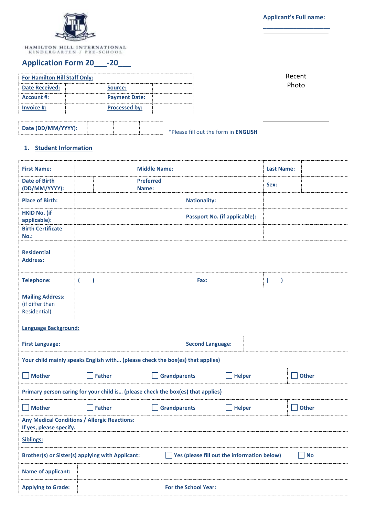

HAMILTON HILL INTERNATIONAL KINDERGARTEN / PRE-SCHOOL

# **Application Form 20\_\_\_-20\_\_\_**

| <b>For Hamilton Hill Staff Only:</b> |                      |  |  |  |  |
|--------------------------------------|----------------------|--|--|--|--|
| <b>Date Received:</b>                | Source:              |  |  |  |  |
| Account #:                           | <b>Payment Date:</b> |  |  |  |  |
| Invoice #:                           | <b>Processed by:</b> |  |  |  |  |

## **Applicant's Full name:**



\*Please fill out the form in **ENGLISH Date (DD/MM/YYYY):**

#### **1. Student Information**

| <b>First Name:</b>                                                              |                                                                       |  | <b>Middle Name:</b>       |                                                          |                                      |               |              | <b>Last Name:</b>             |  |              |
|---------------------------------------------------------------------------------|-----------------------------------------------------------------------|--|---------------------------|----------------------------------------------------------|--------------------------------------|---------------|--------------|-------------------------------|--|--------------|
| <b>Date of Birth</b><br>(DD/MM/YYYY):                                           |                                                                       |  | <b>Preferred</b><br>Name: |                                                          |                                      |               |              | Sex:                          |  |              |
| <b>Place of Birth:</b>                                                          |                                                                       |  |                           |                                                          | <b>Nationality:</b>                  |               |              |                               |  |              |
| <b>HKID No. (if</b><br>applicable):                                             |                                                                       |  |                           |                                                          | <b>Passport No. (if applicable):</b> |               |              |                               |  |              |
| <b>Birth Certificate</b><br>$No.$ :                                             |                                                                       |  |                           |                                                          |                                      |               |              |                               |  |              |
| <b>Residential</b><br><b>Address:</b>                                           |                                                                       |  |                           |                                                          |                                      |               |              |                               |  |              |
| <b>Telephone:</b>                                                               | $\overline{ }$<br>$\mathcal{E}$                                       |  |                           |                                                          | Fax:                                 |               |              | $\overline{\phantom{a}}$<br>۱ |  |              |
| <b>Mailing Address:</b><br>(if differ than<br>Residential)                      |                                                                       |  |                           |                                                          |                                      |               |              |                               |  |              |
| Language Background:                                                            |                                                                       |  |                           |                                                          |                                      |               |              |                               |  |              |
| <b>First Language:</b>                                                          |                                                                       |  |                           |                                                          | <b>Second Language:</b>              |               |              |                               |  |              |
| Your child mainly speaks English with (please check the box(es) that applies)   |                                                                       |  |                           |                                                          |                                      |               |              |                               |  |              |
| <b>Mother</b>                                                                   | <b>Father</b>                                                         |  |                           | <b>Grandparents</b>                                      |                                      | <b>Helper</b> |              |                               |  | <b>Other</b> |
| Primary person caring for your child is (please check the box(es) that applies) |                                                                       |  |                           |                                                          |                                      |               |              |                               |  |              |
| <b>Mother</b>                                                                   | <b>Father</b><br><b>Grandparents</b><br><b>Helper</b><br>$\mathbf{I}$ |  |                           |                                                          |                                      | ×.            | <b>Other</b> |                               |  |              |
| <b>Any Medical Conditions / Allergic Reactions:</b><br>If yes, please specify.  |                                                                       |  |                           |                                                          |                                      |               |              |                               |  |              |
| Siblings:                                                                       |                                                                       |  |                           |                                                          |                                      |               |              |                               |  |              |
| <b>Brother(s) or Sister(s) applying with Applicant:</b>                         |                                                                       |  |                           | Yes (please fill out the information below)<br><b>No</b> |                                      |               |              |                               |  |              |
| <b>Name of applicant:</b>                                                       |                                                                       |  |                           |                                                          |                                      |               |              |                               |  |              |
| <b>Applying to Grade:</b>                                                       |                                                                       |  |                           | <b>For the School Year:</b>                              |                                      |               |              |                               |  |              |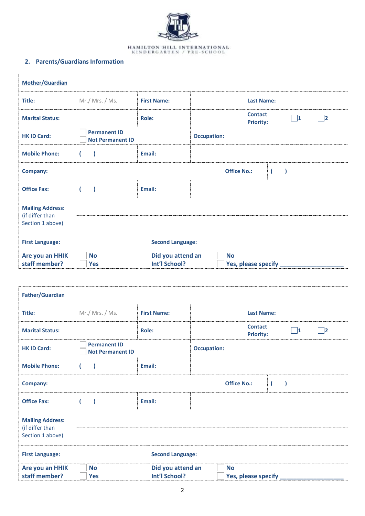

## **2. Parents/Guardians Information**

| <b>Mother/Guardian</b>              |                                                |                                    |                    |                    |                                    |                |          |           |
|-------------------------------------|------------------------------------------------|------------------------------------|--------------------|--------------------|------------------------------------|----------------|----------|-----------|
| Title:                              | Mr./ Mrs./Ms.                                  | <b>First Name:</b>                 |                    |                    | <b>Last Name:</b>                  |                |          |           |
| <b>Marital Status:</b>              |                                                | Role:                              |                    |                    | <b>Contact</b><br><b>Priority:</b> |                | $\Box$ 1 | $\vert$ 2 |
| <b>HK ID Card:</b>                  | <b>Permanent ID</b><br><b>Not Permanent ID</b> |                                    | <b>Occupation:</b> |                    |                                    |                |          |           |
| <b>Mobile Phone:</b>                | $\left($                                       | Email:                             |                    |                    |                                    |                |          |           |
| <b>Company:</b>                     |                                                |                                    |                    | <b>Office No.:</b> |                                    | $\overline{ }$ |          |           |
| <b>Office Fax:</b>                  |                                                | Email:                             |                    |                    |                                    |                |          |           |
| <b>Mailing Address:</b>             |                                                |                                    |                    |                    |                                    |                |          |           |
| (if differ than<br>Section 1 above) |                                                |                                    |                    |                    |                                    |                |          |           |
| <b>First Language:</b>              |                                                | <b>Second Language:</b>            |                    |                    |                                    |                |          |           |
| Are you an HHIK<br>staff member?    | <b>No</b><br><b>Yes</b>                        | Did you attend an<br>Int'l School? |                    | <b>No</b>          | Yes, please specify                |                |          |           |

| <b>Father/Guardian</b>                                         |                                                |                                    |                    |                    |                                    |                |          |                            |
|----------------------------------------------------------------|------------------------------------------------|------------------------------------|--------------------|--------------------|------------------------------------|----------------|----------|----------------------------|
| Title:                                                         | Mr./ Mrs./Ms.                                  | <b>First Name:</b>                 |                    |                    | <b>Last Name:</b>                  |                |          |                            |
| <b>Marital Status:</b>                                         |                                                | <b>Role:</b>                       |                    |                    | <b>Contact</b><br><b>Priority:</b> |                | $\Box$ 1 | $\overline{\phantom{a}}$ 2 |
| <b>HK ID Card:</b>                                             | <b>Permanent ID</b><br><b>Not Permanent ID</b> |                                    | <b>Occupation:</b> |                    |                                    |                |          |                            |
| <b>Mobile Phone:</b>                                           | 1                                              | Email:                             |                    |                    |                                    |                |          |                            |
| <b>Company:</b>                                                |                                                |                                    |                    | <b>Office No.:</b> |                                    | $\overline{ }$ |          |                            |
| <b>Office Fax:</b>                                             | $\lambda$                                      | Email:                             |                    |                    |                                    |                |          |                            |
| <b>Mailing Address:</b><br>(if differ than<br>Section 1 above) |                                                |                                    |                    |                    |                                    |                |          |                            |
| <b>First Language:</b>                                         |                                                | <b>Second Language:</b>            |                    |                    |                                    |                |          |                            |
| Are you an HHIK<br>staff member?                               | <b>No</b><br><b>Yes</b>                        | Did you attend an<br>Int'l School? |                    | <b>No</b>          | Yes, please specify _              |                |          |                            |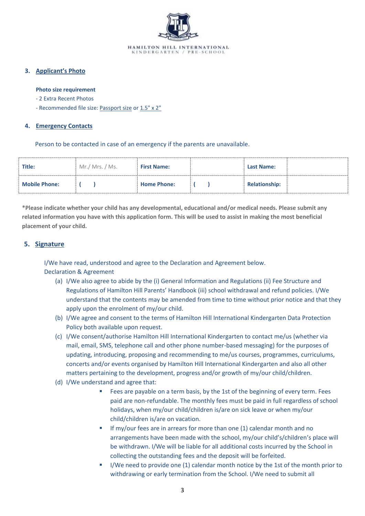

#### **3. Applicant's Photo**

#### **Photo size requirement**

- 2 Extra Recent Photos
- Recommended file size: Passport size or 1.5" x 2"

#### **4. Emergency Contacts**

Person to be contacted in case of an emergency if the parents are unavailable.

| Title:               | Mr./ Mrs. / Ms. | <b>First Name:</b> | <b>Last Name:</b>    |
|----------------------|-----------------|--------------------|----------------------|
| <b>Mobile Phone:</b> |                 | <b>Home Phone:</b> | <b>Relationship:</b> |

**\*Please indicate whether your child has any developmental, educational and/or medical needs. Please submit any related information you have with this application form. This will be used to assist in making the most beneficial placement of your child.**

### **5. Signature**

I/We have read, understood and agree to the Declaration and Agreement below. Declaration & Agreement

- (a) I/We also agree to abide by the (i) General Information and Regulations (ii) Fee Structure and Regulations of Hamilton Hill Parents' Handbook (iii) school withdrawal and refund policies. I/We understand that the contents may be amended from time to time without prior notice and that they apply upon the enrolment of my/our child.
- (b) I/We agree and consent to the terms of Hamilton Hill International Kindergarten Data Protection Policy both available upon request.
- (c) I/We consent/authorise Hamilton Hill International Kindergarten to contact me/us (whether via mail, email, SMS, telephone call and other phone number-based messaging) for the purposes of updating, introducing, proposing and recommending to me/us courses, programmes, curriculums, concerts and/or events organised by Hamilton Hill International Kindergarten and also all other matters pertaining to the development, progress and/or growth of my/our child/children.
- (d) I/We understand and agree that:
	- Fees are payable on a term basis, by the 1st of the beginning of every term. Fees paid are non-refundable. The monthly fees must be paid in full regardless of school holidays, when my/our child/children is/are on sick leave or when my/our child/children is/are on vacation.
	- If my/our fees are in arrears for more than one (1) calendar month and no arrangements have been made with the school, my/our child's/children's place will be withdrawn. I/We will be liable for all additional costs incurred by the School in collecting the outstanding fees and the deposit will be forfeited.
	- I/We need to provide one (1) calendar month notice by the 1st of the month prior to withdrawing or early termination from the School. I/We need to submit all